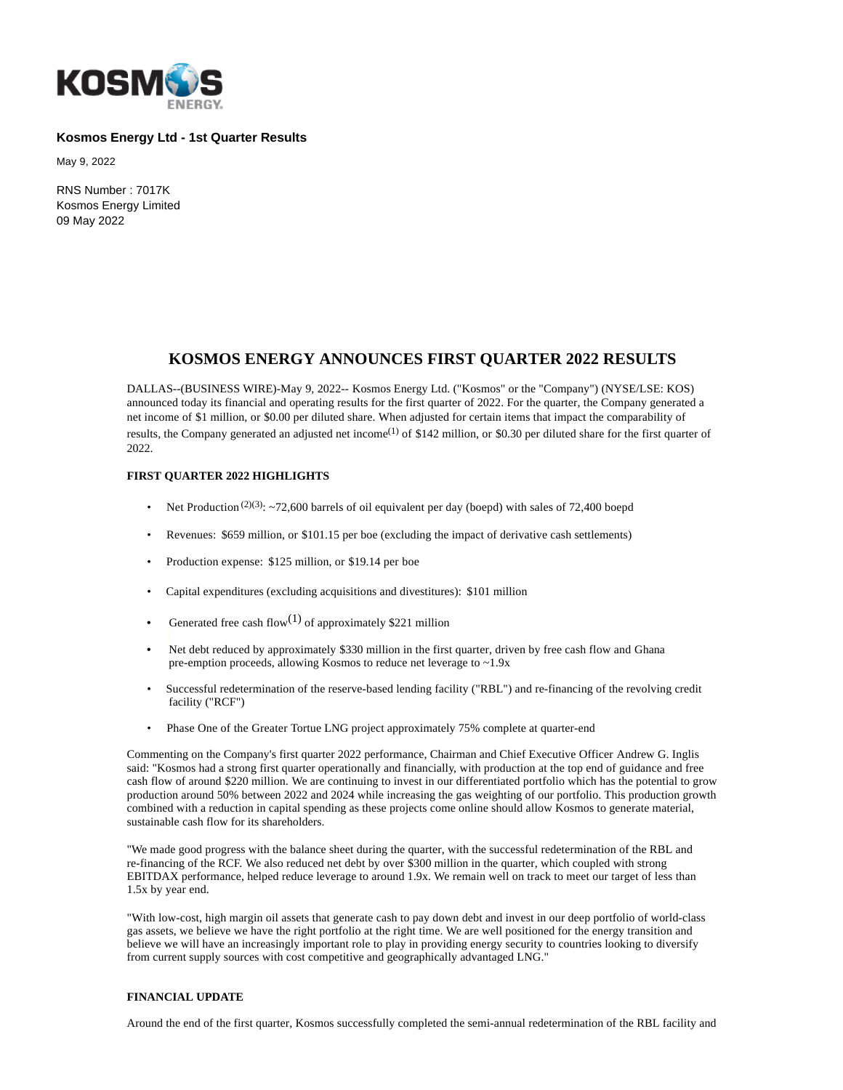

# **Kosmos Energy Ltd - 1st Quarter Results**

May 9, 2022

RNS Number : 7017K Kosmos Energy Limited 09 May 2022

# **KOSMOS ENERGY ANNOUNCES FIRST QUARTER 2022 RESULTS**

DALLAS--(BUSINESS WIRE)-May 9, 2022-- Kosmos Energy Ltd. ("Kosmos" or the "Company") (NYSE/LSE: KOS) announced today its financial and operating results for the first quarter of 2022. For the quarter, the Company generated a net income of \$1 million, or \$0.00 per diluted share. When adjusted for certain items that impact the comparability of results, the Company generated an adjusted net income<sup>(1)</sup> of \$142 million, or \$0.30 per diluted share for the first quarter of 2022.

# **FIRST QUARTER 2022 HIGHLIGHTS**

- Net Production<sup>(2)(3)</sup>: ~72,600 barrels of oil equivalent per day (boepd) with sales of 72,400 boepd
- Revenues: \$659 million, or \$101.15 per boe (excluding the impact of derivative cash settlements)
- Production expense: \$125 million, or \$19.14 per boe
- Capital expenditures (excluding acquisitions and divestitures): \$101 million
- Generated free cash flow(1) of approximately \$221 million
- Net debt reduced by approximately \$330 million in the first quarter, driven by free cash flow and Ghana pre-emption proceeds, allowing Kosmos to reduce net leverage to ~1.9x
- Successful redetermination of the reserve-based lending facility ("RBL") and re-financing of the revolving credit facility ("RCF")
- Phase One of the Greater Tortue LNG project approximately 75% complete at quarter-end

Commenting on the Company's first quarter 2022 performance, Chairman and Chief Executive Officer Andrew G. Inglis said: "Kosmos had a strong first quarter operationally and financially, with production at the top end of guidance and free cash flow of around \$220 million. We are continuing to invest in our differentiated portfolio which has the potential to grow production around 50% between 2022 and 2024 while increasing the gas weighting of our portfolio. This production growth combined with a reduction in capital spending as these projects come online should allow Kosmos to generate material, sustainable cash flow for its shareholders.

"We made good progress with the balance sheet during the quarter, with the successful redetermination of the RBL and re-financing of the RCF. We also reduced net debt by over \$300 million in the quarter, which coupled with strong EBITDAX performance, helped reduce leverage to around 1.9x. We remain well on track to meet our target of less than 1.5x by year end.

"With low-cost, high margin oil assets that generate cash to pay down debt and invest in our deep portfolio of world-class gas assets, we believe we have the right portfolio at the right time. We are well positioned for the energy transition and believe we will have an increasingly important role to play in providing energy security to countries looking to diversify from current supply sources with cost competitive and geographically advantaged LNG."

# **FINANCIAL UPDATE**

Around the end of the first quarter, Kosmos successfully completed the semi-annual redetermination of the RBL facility and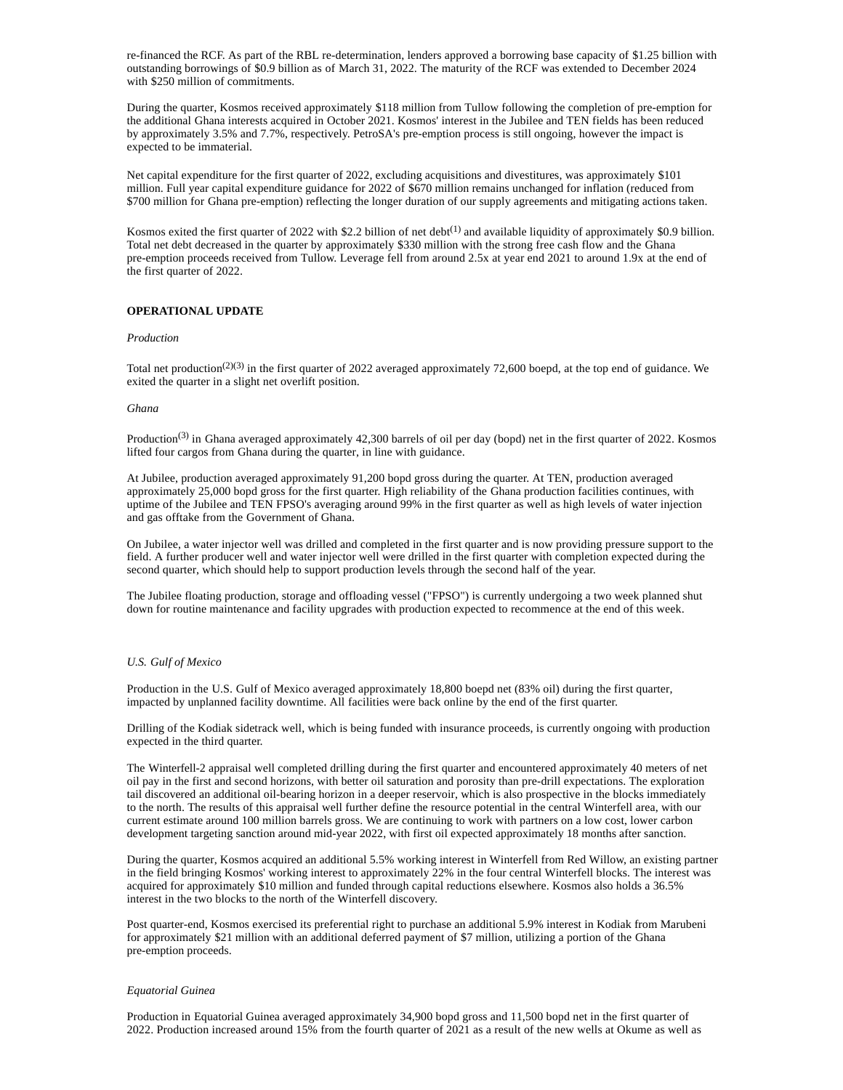re-financed the RCF. As part of the RBL re-determination, lenders approved a borrowing base capacity of \$1.25 billion with outstanding borrowings of \$0.9 billion as of March 31, 2022. The maturity of the RCF was extended to December 2024 with \$250 million of commitments.

During the quarter, Kosmos received approximately \$118 million from Tullow following the completion of pre-emption for the additional Ghana interests acquired in October 2021. Kosmos' interest in the Jubilee and TEN fields has been reduced by approximately 3.5% and 7.7%, respectively. PetroSA's pre-emption process is still ongoing, however the impact is expected to be immaterial.

Net capital expenditure for the first quarter of 2022, excluding acquisitions and divestitures, was approximately \$101 million. Full year capital expenditure guidance for 2022 of \$670 million remains unchanged for inflation (reduced from \$700 million for Ghana pre-emption) reflecting the longer duration of our supply agreements and mitigating actions taken.

Kosmos exited the first quarter of 2022 with \$2.2 billion of net debt<sup>(1)</sup> and available liquidity of approximately \$0.9 billion. Total net debt decreased in the quarter by approximately \$330 million with the strong free cash flow and the Ghana pre-emption proceeds received from Tullow. Leverage fell from around 2.5x at year end 2021 to around 1.9x at the end of the first quarter of 2022.

# **OPERATIONAL UPDATE**

### *Production*

Total net production<sup>(2)(3)</sup> in the first quarter of 2022 averaged approximately 72,600 boepd, at the top end of guidance. We exited the quarter in a slight net overlift position.

#### *Ghana*

Production<sup>(3)</sup> in Ghana averaged approximately 42,300 barrels of oil per day (bopd) net in the first quarter of 2022. Kosmos lifted four cargos from Ghana during the quarter, in line with guidance.

At Jubilee, production averaged approximately 91,200 bopd gross during the quarter. At TEN, production averaged approximately 25,000 bopd gross for the first quarter. High reliability of the Ghana production facilities continues, with uptime of the Jubilee and TEN FPSO's averaging around 99% in the first quarter as well as high levels of water injection and gas offtake from the Government of Ghana.

On Jubilee, a water injector well was drilled and completed in the first quarter and is now providing pressure support to the field. A further producer well and water injector well were drilled in the first quarter with completion expected during the second quarter, which should help to support production levels through the second half of the year.

The Jubilee floating production, storage and offloading vessel ("FPSO") is currently undergoing a two week planned shut down for routine maintenance and facility upgrades with production expected to recommence at the end of this week.

#### *U.S. Gulf of Mexico*

Production in the U.S. Gulf of Mexico averaged approximately 18,800 boepd net (83% oil) during the first quarter, impacted by unplanned facility downtime. All facilities were back online by the end of the first quarter.

Drilling of the Kodiak sidetrack well, which is being funded with insurance proceeds, is currently ongoing with production expected in the third quarter.

The Winterfell-2 appraisal well completed drilling during the first quarter and encountered approximately 40 meters of net oil pay in the first and second horizons, with better oil saturation and porosity than pre-drill expectations. The exploration tail discovered an additional oil-bearing horizon in a deeper reservoir, which is also prospective in the blocks immediately to the north. The results of this appraisal well further define the resource potential in the central Winterfell area, with our current estimate around 100 million barrels gross. We are continuing to work with partners on a low cost, lower carbon development targeting sanction around mid-year 2022, with first oil expected approximately 18 months after sanction.

During the quarter, Kosmos acquired an additional 5.5% working interest in Winterfell from Red Willow, an existing partner in the field bringing Kosmos' working interest to approximately 22% in the four central Winterfell blocks. The interest was acquired for approximately \$10 million and funded through capital reductions elsewhere. Kosmos also holds a 36.5% interest in the two blocks to the north of the Winterfell discovery.

Post quarter-end, Kosmos exercised its preferential right to purchase an additional 5.9% interest in Kodiak from Marubeni for approximately \$21 million with an additional deferred payment of \$7 million, utilizing a portion of the Ghana pre-emption proceeds.

#### *Equatorial Guinea*

Production in Equatorial Guinea averaged approximately 34,900 bopd gross and 11,500 bopd net in the first quarter of 2022. Production increased around 15% from the fourth quarter of 2021 as a result of the new wells at Okume as well as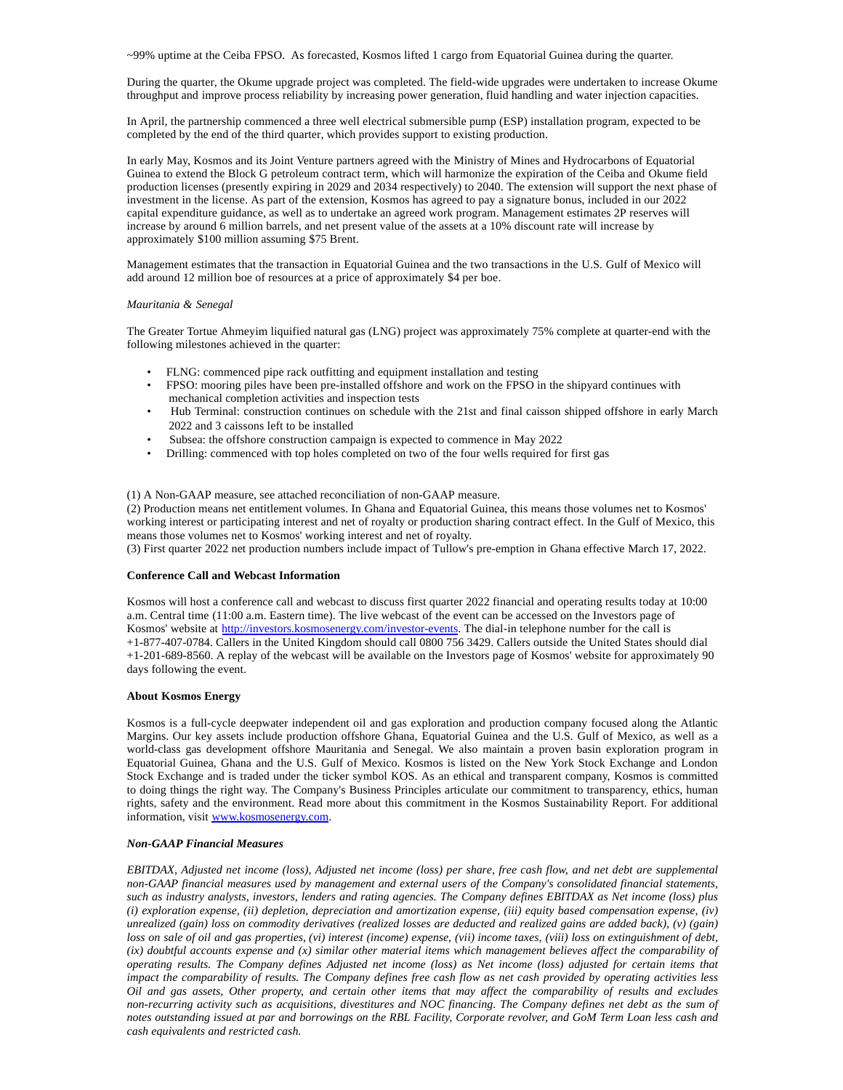~99% uptime at the Ceiba FPSO. As forecasted, Kosmos lifted 1 cargo from Equatorial Guinea during the quarter.

During the quarter, the Okume upgrade project was completed. The field-wide upgrades were undertaken to increase Okume throughput and improve process reliability by increasing power generation, fluid handling and water injection capacities.

In April, the partnership commenced a three well electrical submersible pump (ESP) installation program, expected to be completed by the end of the third quarter, which provides support to existing production.

In early May, Kosmos and its Joint Venture partners agreed with the Ministry of Mines and Hydrocarbons of Equatorial Guinea to extend the Block G petroleum contract term, which will harmonize the expiration of the Ceiba and Okume field production licenses (presently expiring in 2029 and 2034 respectively) to 2040. The extension will support the next phase of investment in the license. As part of the extension, Kosmos has agreed to pay a signature bonus, included in our 2022 capital expenditure guidance, as well as to undertake an agreed work program. Management estimates 2P reserves will increase by around 6 million barrels, and net present value of the assets at a 10% discount rate will increase by approximately \$100 million assuming \$75 Brent.

Management estimates that the transaction in Equatorial Guinea and the two transactions in the U.S. Gulf of Mexico will add around 12 million boe of resources at a price of approximately \$4 per boe.

### *Mauritania & Senegal*

The Greater Tortue Ahmeyim liquified natural gas (LNG) project was approximately 75% complete at quarter-end with the following milestones achieved in the quarter:

- FLNG: commenced pipe rack outfitting and equipment installation and testing
- FPSO: mooring piles have been pre-installed offshore and work on the FPSO in the shipyard continues with mechanical completion activities and inspection tests
- Hub Terminal: construction continues on schedule with the 21st and final caisson shipped offshore in early March 2022 and 3 caissons left to be installed
- Subsea: the offshore construction campaign is expected to commence in May 2022
- Drilling: commenced with top holes completed on two of the four wells required for first gas

### (1) A Non-GAAP measure, see attached reconciliation of non-GAAP measure.

(2) Production means net entitlement volumes. In Ghana and Equatorial Guinea, this means those volumes net to Kosmos' working interest or participating interest and net of royalty or production sharing contract effect. In the Gulf of Mexico, this means those volumes net to Kosmos' working interest and net of royalty.

(3) First quarter 2022 net production numbers include impact of Tullow's pre-emption in Ghana effective March 17, 2022.

### **Conference Call and Webcast Information**

Kosmos will host a conference call and webcast to discuss first quarter 2022 financial and operating results today at 10:00 a.m. Central time (11:00 a.m. Eastern time). The live webcast of the event can be accessed on the Investors page of Kosmos' website at [http://investors.kosmosenergy.com/investor-events.](http://investors.kosmosenergy.com/investor-events) The dial-in telephone number for the call is +1-877-407-0784. Callers in the United Kingdom should call 0800 756 3429. Callers outside the United States should dial +1-201-689-8560. A replay of the webcast will be available on the Investors page of Kosmos' website for approximately 90 days following the event.

### **About Kosmos Energy**

Kosmos is a full-cycle deepwater independent oil and gas exploration and production company focused along the Atlantic Margins. Our key assets include production offshore Ghana, Equatorial Guinea and the U.S. Gulf of Mexico, as well as a world-class gas development offshore Mauritania and Senegal. We also maintain a proven basin exploration program in Equatorial Guinea, Ghana and the U.S. Gulf of Mexico. Kosmos is listed on the New York Stock Exchange and London Stock Exchange and is traded under the ticker symbol KOS. As an ethical and transparent company, Kosmos is committed to doing things the right way. The Company's Business Principles articulate our commitment to transparency, ethics, human rights, safety and the environment. Read more about this commitment in the Kosmos Sustainability Report. For additional information, visit [www.kosmosenergy.com.](http://www.kosmosenergy.com/)

#### *Non-GAAP Financial Measures*

*EBITDAX, Adjusted net income (loss), Adjusted net income (loss) per share, free cash flow, and net debt are supplemental non-GAAP financial measures used by management and external users of the Company's consolidated financial statements, such as industry analysts, investors, lenders and rating agencies. The Company defines EBITDAX as Net income (loss) plus (i) exploration expense, (ii) depletion, depreciation and amortization expense, (iii) equity based compensation expense, (iv) unrealized (gain) loss on commodity derivatives (realized losses are deducted and realized gains are added back), (v) (gain) loss on sale of oil and gas properties, (vi) interest (income) expense, (vii) income taxes, (viii) loss on extinguishment of debt, (ix) doubtful accounts expense and (x) similar other material items which management believes affect the comparability of operating results. The Company defines Adjusted net income (loss) as Net income (loss) adjusted for certain items that impact the comparability of results. The Company defines free cash flow as net cash provided by operating activities less Oil and gas assets, Other property, and certain other items that may affect the comparability of results and excludes non-recurring activity such as acquisitions, divestitures and NOC financing. The Company defines net debt as the sum of notes outstanding issued at par and borrowings on the RBL Facility, Corporate revolver, and GoM Term Loan less cash and cash equivalents and restricted cash.*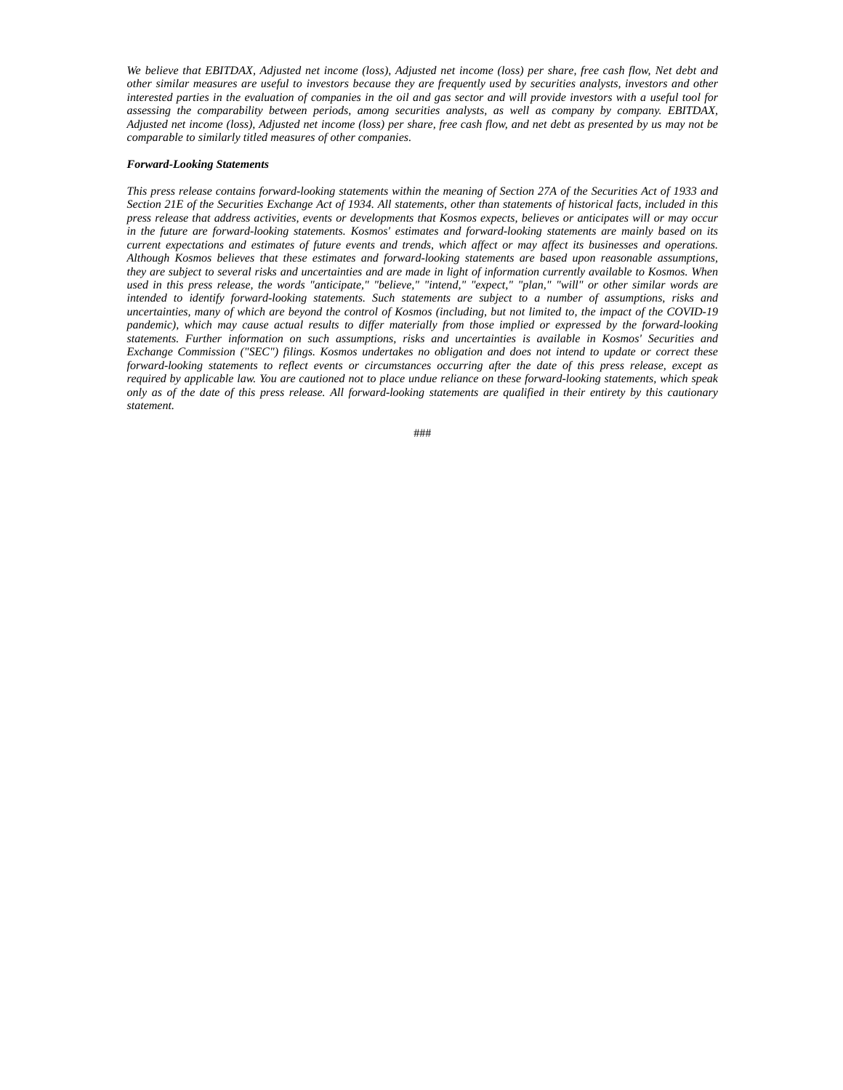*We believe that EBITDAX, Adjusted net income (loss), Adjusted net income (loss) per share, free cash flow, Net debt and other similar measures are useful to investors because they are frequently used by securities analysts, investors and other interested parties in the evaluation of companies in the oil and gas sector and will provide investors with a useful tool for assessing the comparability between periods, among securities analysts, as well as company by company. EBITDAX, Adjusted net income (loss), Adjusted net income (loss) per share, free cash flow, and net debt as presented by us may not be comparable to similarly titled measures of other companies.*

#### *Forward-Looking Statements*

*This press release contains forward-looking statements within the meaning of Section 27A of the Securities Act of 1933 and Section 21E of the Securities Exchange Act of 1934. All statements, other than statements of historical facts, included in this press release that address activities, events or developments that Kosmos expects, believes or anticipates will or may occur in the future are forward-looking statements. Kosmos' estimates and forward-looking statements are mainly based on its current expectations and estimates of future events and trends, which affect or may affect its businesses and operations. Although Kosmos believes that these estimates and forward-looking statements are based upon reasonable assumptions, they are subject to several risks and uncertainties and are made in light of information currently available to Kosmos. When used in this press release, the words "anticipate," "believe," "intend," "expect," "plan," "will" or other similar words are intended to identify forward-looking statements. Such statements are subject to a number of assumptions, risks and uncertainties, many of which are beyond the control of Kosmos (including, but not limited to, the impact of the COVID-19 pandemic), which may cause actual results to differ materially from those implied or expressed by the forward-looking statements. Further information on such assumptions, risks and uncertainties is available in Kosmos' Securities and Exchange Commission ("SEC") filings. Kosmos undertakes no obligation and does not intend to update or correct these forward-looking statements to reflect events or circumstances occurring after the date of this press release, except as required by applicable law. You are cautioned not to place undue reliance on these forward-looking statements, which speak only as of the date of this press release. All forward-looking statements are qualified in their entirety by this cautionary statement.*

###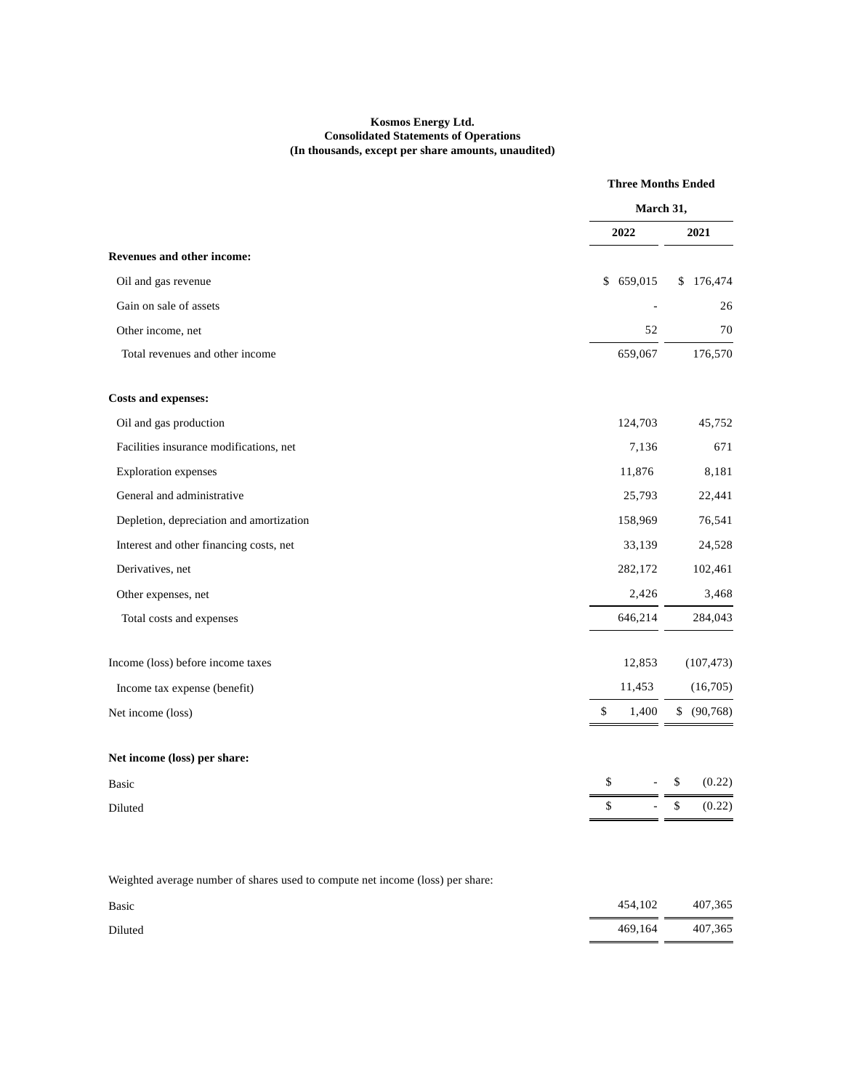# **Kosmos Energy Ltd. Consolidated Statements of Operations (In thousands, except per share amounts, unaudited)**

|                                                                                |             | <b>Three Months Ended</b> |
|--------------------------------------------------------------------------------|-------------|---------------------------|
|                                                                                |             | March 31,                 |
|                                                                                | 2022        | 2021                      |
| <b>Revenues and other income:</b>                                              |             |                           |
| Oil and gas revenue                                                            | \$659,015   | \$176,474                 |
| Gain on sale of assets                                                         |             | 26                        |
| Other income, net                                                              | 52          | 70                        |
| Total revenues and other income                                                | 659,067     | 176,570                   |
| <b>Costs and expenses:</b>                                                     |             |                           |
| Oil and gas production                                                         | 124,703     | 45,752                    |
| Facilities insurance modifications, net                                        | 7,136       | 671                       |
| <b>Exploration</b> expenses                                                    | 11,876      | 8,181                     |
| General and administrative                                                     | 25,793      | 22,441                    |
| Depletion, depreciation and amortization                                       | 158,969     | 76,541                    |
| Interest and other financing costs, net                                        | 33,139      | 24,528                    |
| Derivatives, net                                                               | 282,172     | 102,461                   |
| Other expenses, net                                                            | 2,426       | 3,468                     |
| Total costs and expenses                                                       | 646,214     | 284,043                   |
| Income (loss) before income taxes                                              | 12,853      | (107, 473)                |
| Income tax expense (benefit)                                                   | 11,453      | (16,705)                  |
| Net income (loss)                                                              | \$<br>1,400 | \$ (90, 768)              |
| Net income (loss) per share:                                                   |             |                           |
| Basic                                                                          | \$          | \$<br>(0.22)              |
| Diluted                                                                        | \$          | \$<br>(0.22)              |
| Weighted average number of shares used to compute net income (loss) per share: |             |                           |
| Basic                                                                          | 454,102     | 407,365                   |
| Diluted                                                                        | 469,164     | 407,365                   |
|                                                                                |             |                           |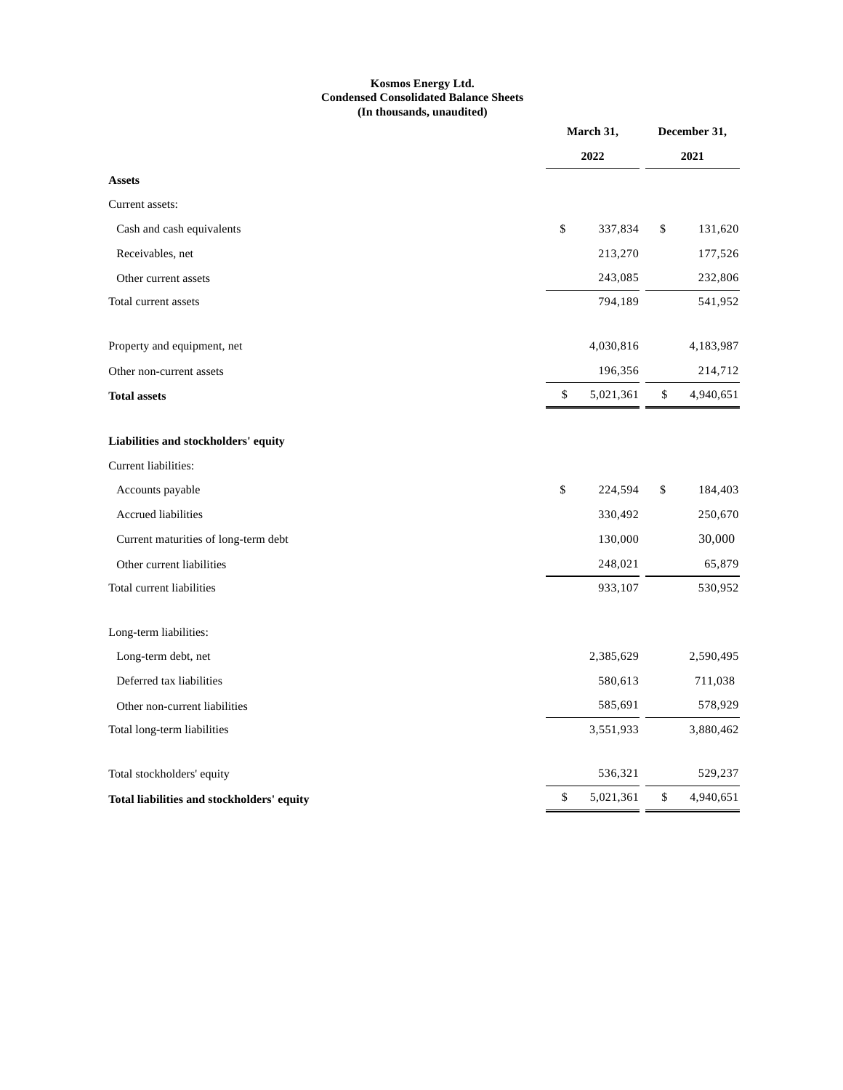# **Kosmos Energy Ltd. Condensed Consolidated Balance Sheets (In thousands, unaudited)**

|                                            |    | March 31,<br>2022 |    | December 31,<br>2021 |  |
|--------------------------------------------|----|-------------------|----|----------------------|--|
|                                            |    |                   |    |                      |  |
| <b>Assets</b>                              |    |                   |    |                      |  |
| Current assets:                            |    |                   |    |                      |  |
| Cash and cash equivalents                  | \$ | 337,834           | \$ | 131,620              |  |
| Receivables, net                           |    | 213,270           |    | 177,526              |  |
| Other current assets                       |    | 243,085           |    | 232,806              |  |
| Total current assets                       |    | 794,189           |    | 541,952              |  |
| Property and equipment, net                |    | 4,030,816         |    | 4,183,987            |  |
| Other non-current assets                   |    | 196,356           |    | 214,712              |  |
| <b>Total assets</b>                        | \$ | 5,021,361         | \$ | 4,940,651            |  |
| Liabilities and stockholders' equity       |    |                   |    |                      |  |
| Current liabilities:                       |    |                   |    |                      |  |
| Accounts payable                           | \$ | 224,594           | \$ | 184,403              |  |
| Accrued liabilities                        |    | 330,492           |    | 250,670              |  |
| Current maturities of long-term debt       |    | 130,000           |    | 30,000               |  |
| Other current liabilities                  |    | 248,021           |    | 65,879               |  |
| Total current liabilities                  |    | 933,107           |    | 530,952              |  |
| Long-term liabilities:                     |    |                   |    |                      |  |
| Long-term debt, net                        |    | 2,385,629         |    | 2,590,495            |  |
| Deferred tax liabilities                   |    | 580,613           |    | 711,038              |  |
| Other non-current liabilities              |    | 585,691           |    | 578,929              |  |
| Total long-term liabilities                |    | 3,551,933         |    | 3,880,462            |  |
| Total stockholders' equity                 |    | 536,321           |    | 529,237              |  |
| Total liabilities and stockholders' equity | \$ | 5,021,361         | \$ | 4,940,651            |  |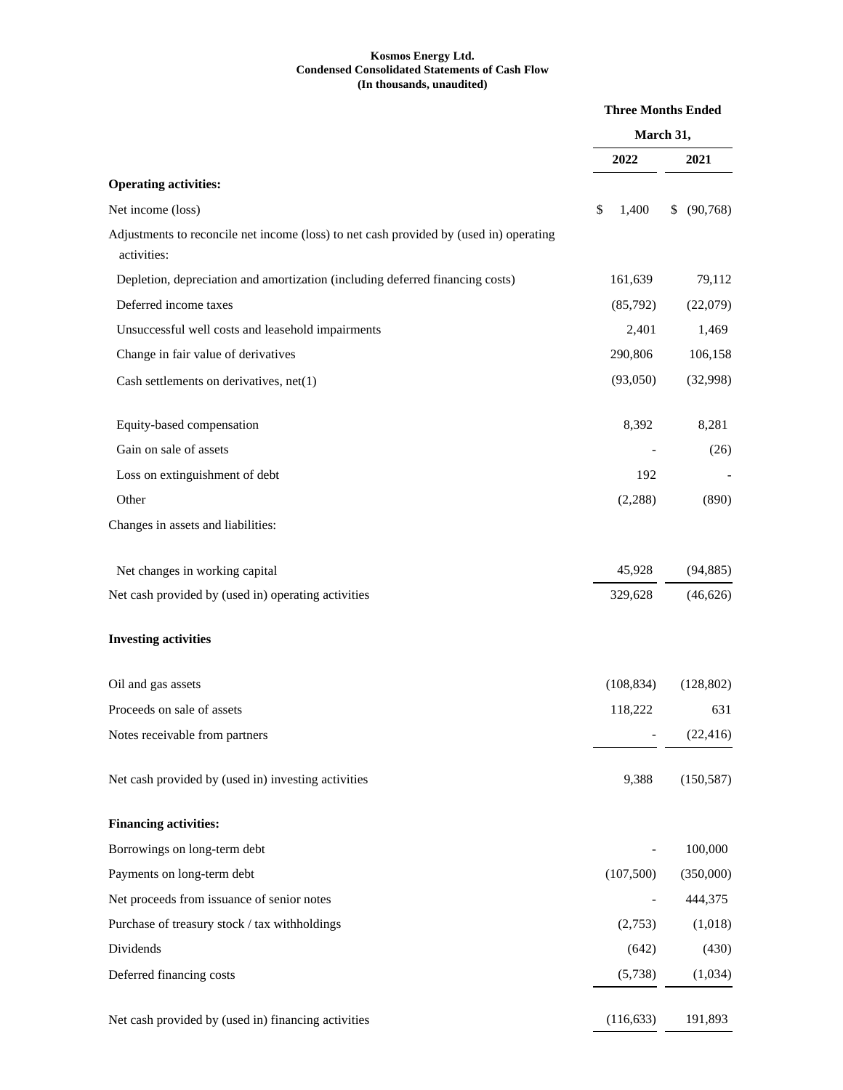# **Kosmos Energy Ltd. Condensed Consolidated Statements of Cash Flow (In thousands, unaudited)**

|                                                                                                       | <b>Three Months Ended</b><br>March 31, |            |  |              |
|-------------------------------------------------------------------------------------------------------|----------------------------------------|------------|--|--------------|
|                                                                                                       |                                        |            |  |              |
|                                                                                                       |                                        | 2022       |  | 2021         |
| <b>Operating activities:</b>                                                                          |                                        |            |  |              |
| Net income (loss)                                                                                     | \$                                     | 1,400      |  | \$ (90, 768) |
| Adjustments to reconcile net income (loss) to net cash provided by (used in) operating<br>activities: |                                        |            |  |              |
| Depletion, depreciation and amortization (including deferred financing costs)                         |                                        | 161,639    |  | 79,112       |
| Deferred income taxes                                                                                 |                                        | (85,792)   |  | (22,079)     |
| Unsuccessful well costs and leasehold impairments                                                     |                                        | 2,401      |  | 1,469        |
| Change in fair value of derivatives                                                                   |                                        | 290,806    |  | 106,158      |
| Cash settlements on derivatives, net(1)                                                               |                                        | (93,050)   |  | (32,998)     |
| Equity-based compensation                                                                             |                                        | 8,392      |  | 8,281        |
| Gain on sale of assets                                                                                |                                        |            |  | (26)         |
| Loss on extinguishment of debt                                                                        |                                        | 192        |  |              |
| Other                                                                                                 |                                        | (2,288)    |  | (890)        |
| Changes in assets and liabilities:                                                                    |                                        |            |  |              |
| Net changes in working capital                                                                        |                                        | 45,928     |  | (94, 885)    |
| Net cash provided by (used in) operating activities                                                   |                                        | 329,628    |  | (46, 626)    |
| <b>Investing activities</b>                                                                           |                                        |            |  |              |
| Oil and gas assets                                                                                    |                                        | (108, 834) |  | (128, 802)   |
| Proceeds on sale of assets                                                                            |                                        | 118,222    |  | 631          |
| Notes receivable from partners                                                                        |                                        |            |  | (22, 416)    |
| Net cash provided by (used in) investing activities                                                   |                                        | 9,388      |  | (150, 587)   |
| <b>Financing activities:</b>                                                                          |                                        |            |  |              |
| Borrowings on long-term debt                                                                          |                                        |            |  | 100,000      |
| Payments on long-term debt                                                                            |                                        | (107, 500) |  | (350,000)    |
| Net proceeds from issuance of senior notes                                                            |                                        |            |  | 444,375      |
| Purchase of treasury stock / tax withholdings                                                         |                                        | (2,753)    |  | (1,018)      |
| Dividends                                                                                             |                                        | (642)      |  | (430)        |
| Deferred financing costs                                                                              |                                        | (5,738)    |  | (1,034)      |
| Net cash provided by (used in) financing activities                                                   |                                        | (116, 633) |  | 191,893      |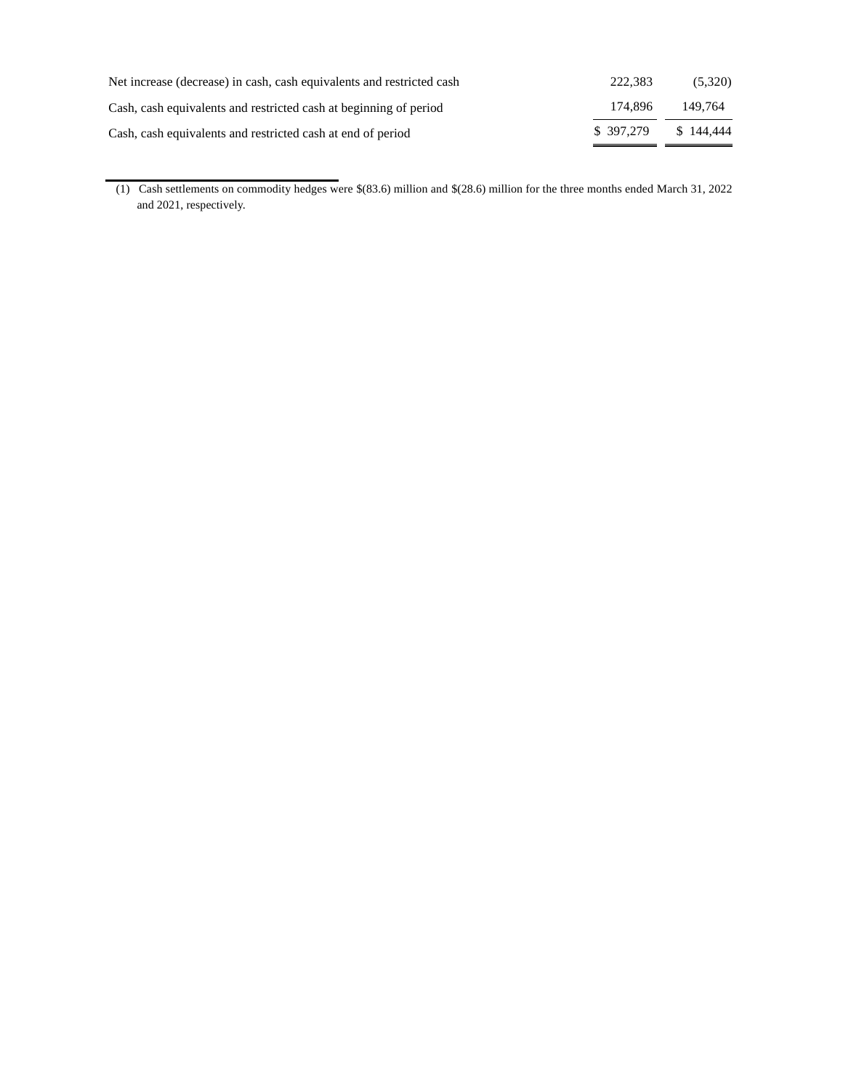| Net increase (decrease) in cash, cash equivalents and restricted cash | 222.383   | (5,320)   |
|-----------------------------------------------------------------------|-----------|-----------|
| Cash, cash equivalents and restricted cash at beginning of period     | 174.896   | 149.764   |
| Cash, cash equivalents and restricted cash at end of period           | \$397.279 | \$144,444 |

<sup>(1)</sup> Cash settlements on commodity hedges were \$(83.6) million and \$(28.6) million for the three months ended March 31, 2022 and 2021, respectively.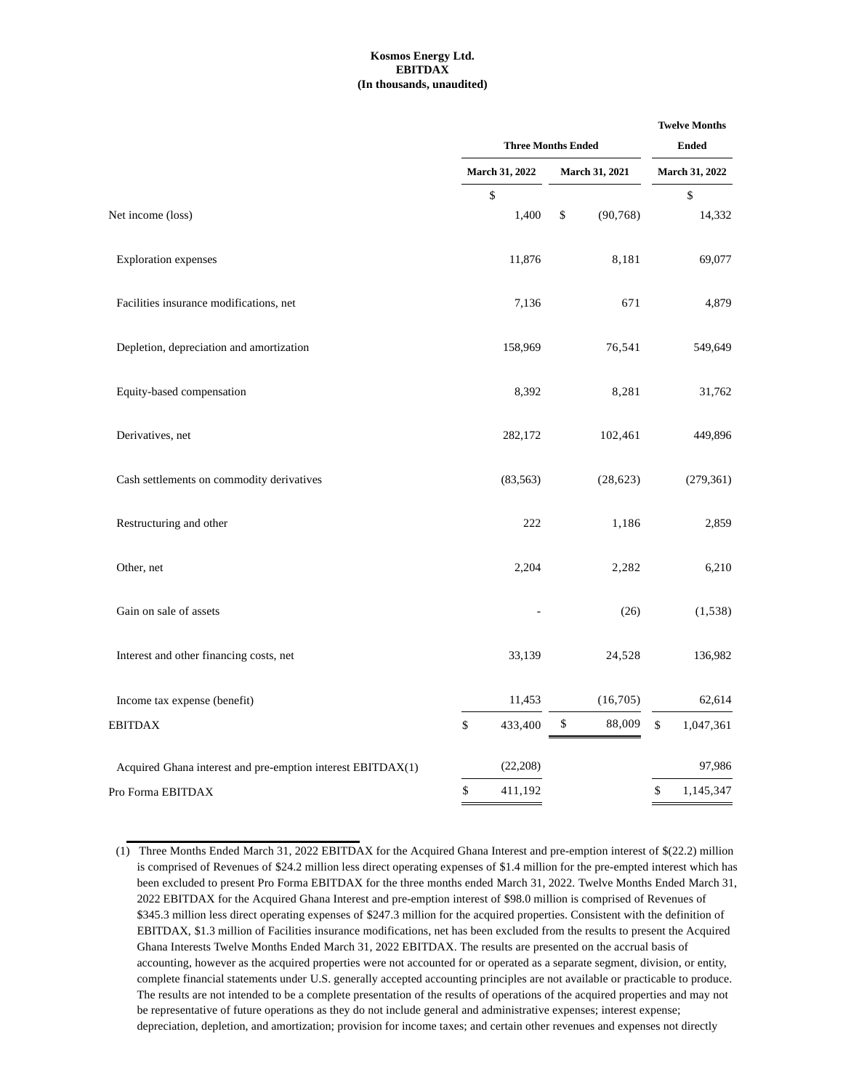### **Kosmos Energy Ltd. EBITDAX (In thousands, unaudited)**

|                                                             | <b>Three Months Ended</b><br>March 31, 2022<br><b>March 31, 2021</b> |              | <b>Twelve Months</b><br><b>Ended</b><br>March 31, 2022 |    |            |
|-------------------------------------------------------------|----------------------------------------------------------------------|--------------|--------------------------------------------------------|----|------------|
|                                                             |                                                                      |              |                                                        |    |            |
|                                                             | \$                                                                   |              |                                                        |    | \$         |
| Net income (loss)                                           | 1,400                                                                | \$           | (90, 768)                                              |    | 14,332     |
| <b>Exploration</b> expenses                                 | 11,876                                                               |              | 8,181                                                  |    | 69,077     |
| Facilities insurance modifications, net                     | 7,136                                                                |              | 671                                                    |    | 4,879      |
| Depletion, depreciation and amortization                    | 158,969                                                              |              | 76,541                                                 |    | 549,649    |
| Equity-based compensation                                   | 8,392                                                                |              | 8,281                                                  |    | 31,762     |
| Derivatives, net                                            | 282,172                                                              |              | 102,461                                                |    | 449,896    |
| Cash settlements on commodity derivatives                   | (83, 563)                                                            |              | (28, 623)                                              |    | (279, 361) |
| Restructuring and other                                     | 222                                                                  |              | 1,186                                                  |    | 2,859      |
| Other, net                                                  | 2,204                                                                |              | 2,282                                                  |    | 6,210      |
| Gain on sale of assets                                      |                                                                      |              | (26)                                                   |    | (1,538)    |
| Interest and other financing costs, net                     | 33,139                                                               |              | 24,528                                                 |    | 136,982    |
| Income tax expense (benefit)                                | 11,453                                                               |              | (16,705)                                               |    | 62,614     |
| <b>EBITDAX</b>                                              | $\mathbb{S}$<br>433,400                                              | $\mathbb{S}$ | 88,009                                                 | \$ | 1,047,361  |
| Acquired Ghana interest and pre-emption interest EBITDAX(1) | (22, 208)                                                            |              |                                                        |    | 97,986     |
| Pro Forma EBITDAX                                           | \$<br>411,192                                                        |              |                                                        | \$ | 1,145,347  |
|                                                             |                                                                      |              |                                                        |    |            |

<sup>(1)</sup> Three Months Ended March 31, 2022 EBITDAX for the Acquired Ghana Interest and pre-emption interest of \$(22.2) million is comprised of Revenues of \$24.2 million less direct operating expenses of \$1.4 million for the pre-empted interest which has been excluded to present Pro Forma EBITDAX for the three months ended March 31, 2022. Twelve Months Ended March 31, 2022 EBITDAX for the Acquired Ghana Interest and pre-emption interest of \$98.0 million is comprised of Revenues of \$345.3 million less direct operating expenses of \$247.3 million for the acquired properties. Consistent with the definition of EBITDAX, \$1.3 million of Facilities insurance modifications, net has been excluded from the results to present the Acquired Ghana Interests Twelve Months Ended March 31, 2022 EBITDAX. The results are presented on the accrual basis of accounting, however as the acquired properties were not accounted for or operated as a separate segment, division, or entity, complete financial statements under U.S. generally accepted accounting principles are not available or practicable to produce. The results are not intended to be a complete presentation of the results of operations of the acquired properties and may not be representative of future operations as they do not include general and administrative expenses; interest expense; depreciation, depletion, and amortization; provision for income taxes; and certain other revenues and expenses not directly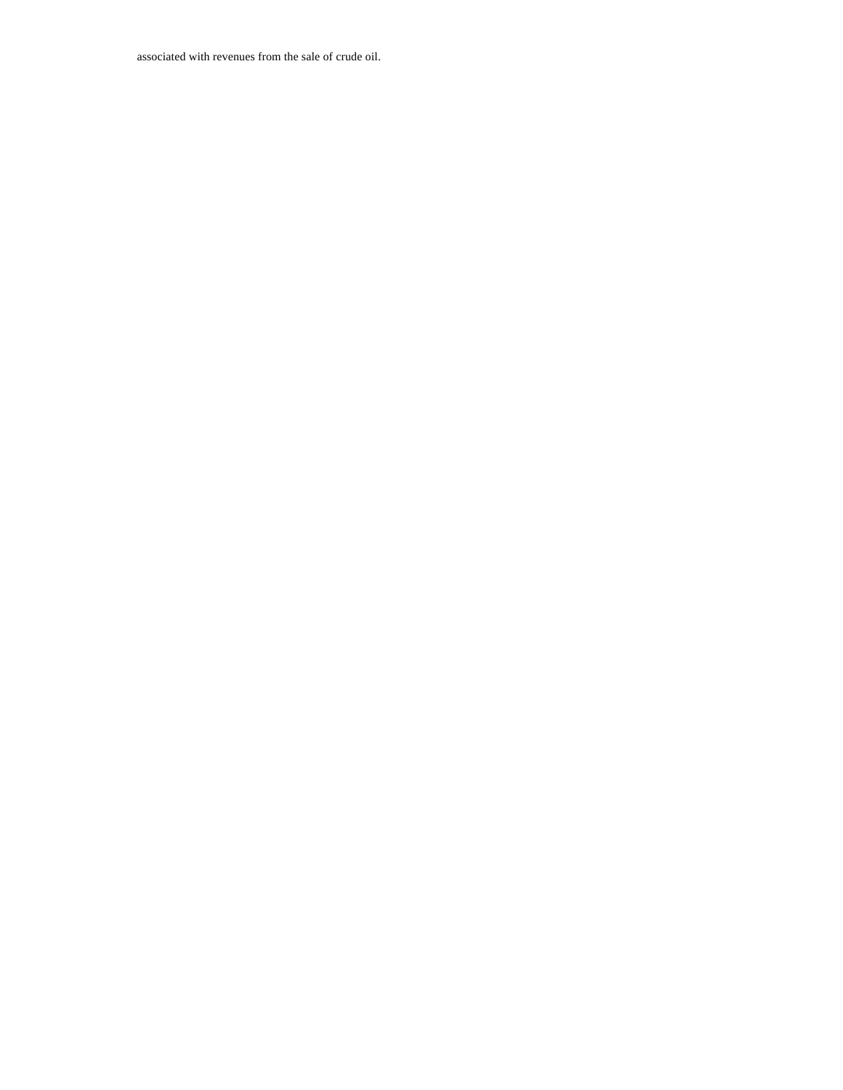associated with revenues from the sale of crude oil.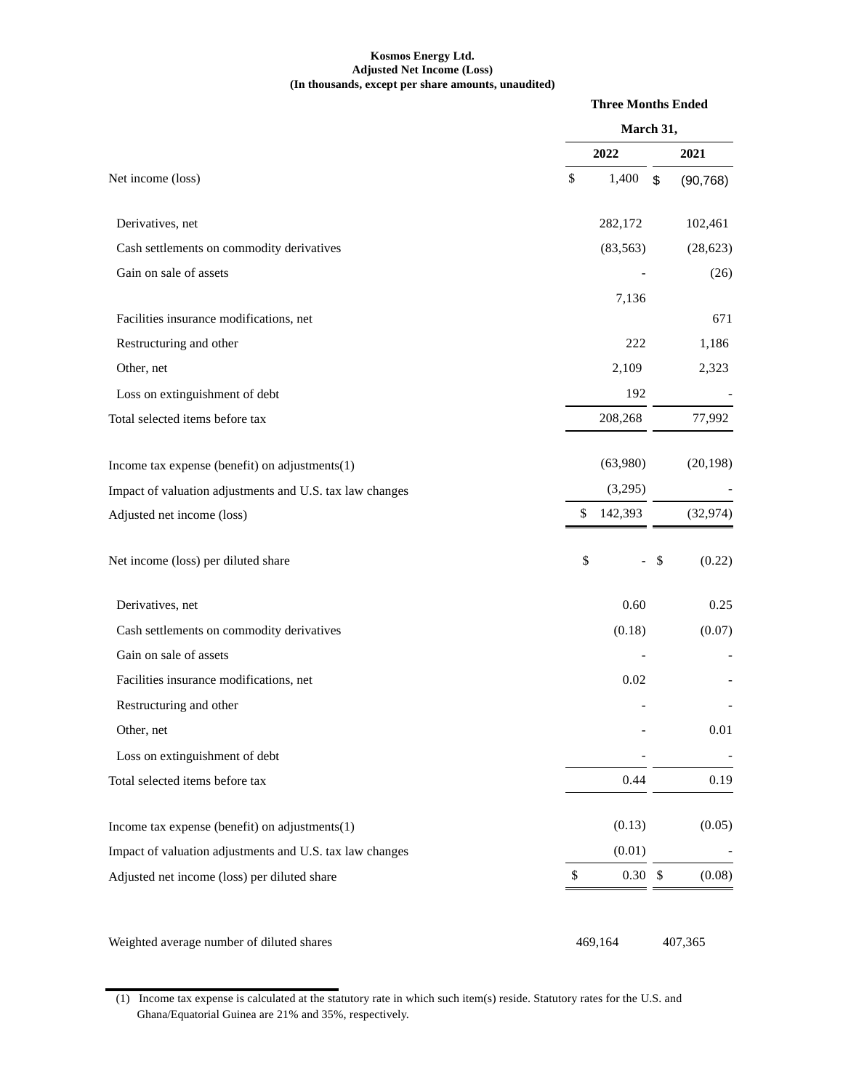# **Kosmos Energy Ltd. Adjusted Net Income (Loss) (In thousands, except per share amounts, unaudited)**

|                                                          |               | <b>Three Months Ended</b> |           |
|----------------------------------------------------------|---------------|---------------------------|-----------|
|                                                          | March 31,     |                           |           |
|                                                          | 2022          |                           | 2021      |
| Net income (loss)                                        | \$<br>1,400   | \$                        | (90, 768) |
| Derivatives, net                                         | 282,172       |                           | 102,461   |
| Cash settlements on commodity derivatives                | (83, 563)     |                           | (28, 623) |
| Gain on sale of assets                                   |               |                           | (26)      |
|                                                          | 7,136         |                           |           |
| Facilities insurance modifications, net                  |               |                           | 671       |
| Restructuring and other                                  |               | 222                       | 1,186     |
| Other, net                                               | 2,109         |                           | 2,323     |
| Loss on extinguishment of debt                           |               | 192                       |           |
| Total selected items before tax                          | 208,268       |                           | 77,992    |
| Income tax expense (benefit) on adjustments(1)           | (63,980)      |                           | (20, 198) |
| Impact of valuation adjustments and U.S. tax law changes | (3,295)       |                           |           |
| Adjusted net income (loss)                               | \$<br>142,393 |                           | (32, 974) |
| Net income (loss) per diluted share                      | \$            | \$<br>$\overline{a}$      | (0.22)    |
| Derivatives, net                                         |               | 0.60                      | 0.25      |
| Cash settlements on commodity derivatives                | (0.18)        |                           | (0.07)    |
| Gain on sale of assets                                   |               |                           |           |
| Facilities insurance modifications, net                  | 0.02          |                           |           |
| Restructuring and other                                  |               |                           |           |
| Other, net                                               |               |                           | $0.01\,$  |
| Loss on extinguishment of debt                           |               |                           |           |
| Total selected items before tax                          | 0.44          |                           | 0.19      |
| Income tax expense (benefit) on adjustments $(1)$        | (0.13)        |                           | (0.05)    |
| Impact of valuation adjustments and U.S. tax law changes | (0.01)        |                           |           |
| Adjusted net income (loss) per diluted share             | \$            | $0.30\,$ \$               | (0.08)    |
| Weighted average number of diluted shares                | 469,164       |                           | 407,365   |

(1) Income tax expense is calculated at the statutory rate in which such item(s) reside. Statutory rates for the U.S. and Ghana/Equatorial Guinea are 21% and 35%, respectively.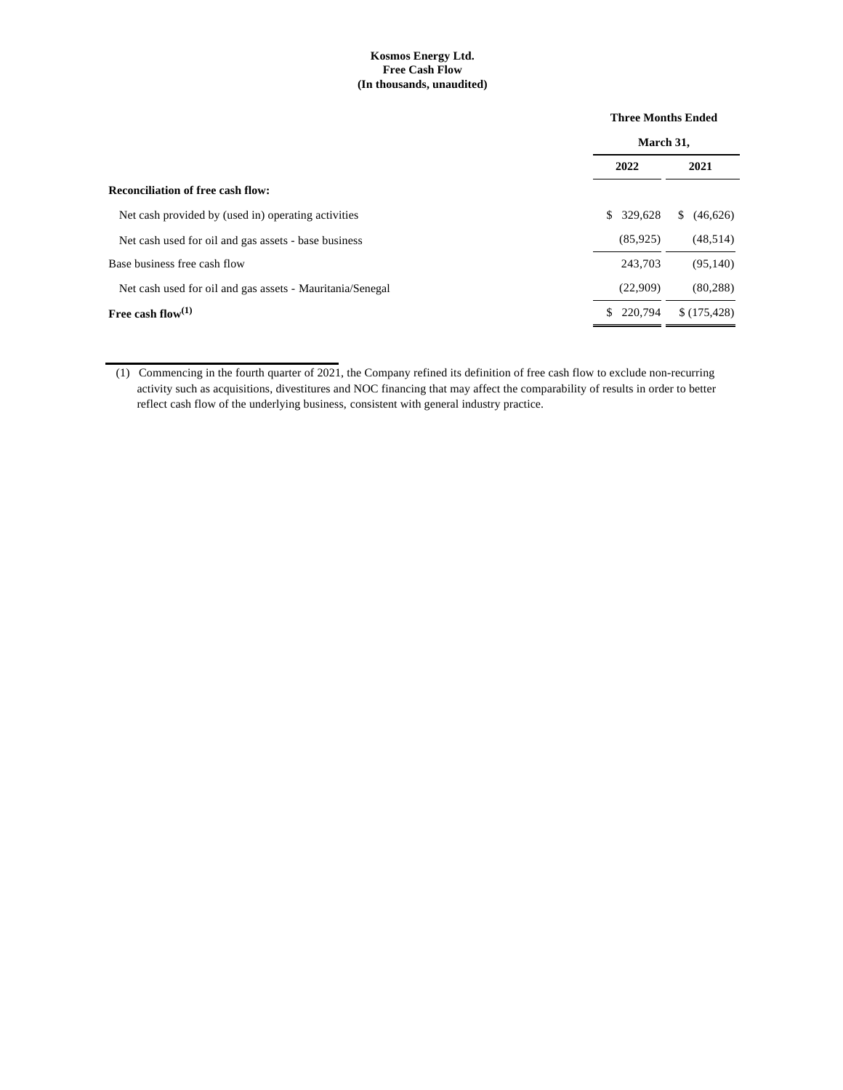# **Kosmos Energy Ltd. Free Cash Flow (In thousands, unaudited)**

|                                                           | <b>Three Months Ended</b> |                |  |
|-----------------------------------------------------------|---------------------------|----------------|--|
|                                                           | March 31,                 |                |  |
|                                                           | 2022                      | 2021           |  |
| <b>Reconciliation of free cash flow:</b>                  |                           |                |  |
| Net cash provided by (used in) operating activities       | \$329,628                 | (46,626)<br>S. |  |
| Net cash used for oil and gas assets - base business      | (85, 925)                 | (48, 514)      |  |
| Base business free cash flow                              | 243.703                   | (95, 140)      |  |
| Net cash used for oil and gas assets - Mauritania/Senegal | (22,909)                  | (80, 288)      |  |
| Free cash flow $(1)$                                      | \$220,794                 | \$(175, 428)   |  |

<sup>(1)</sup> Commencing in the fourth quarter of 2021, the Company refined its definition of free cash flow to exclude non-recurring activity such as acquisitions, divestitures and NOC financing that may affect the comparability of results in order to better reflect cash flow of the underlying business, consistent with general industry practice.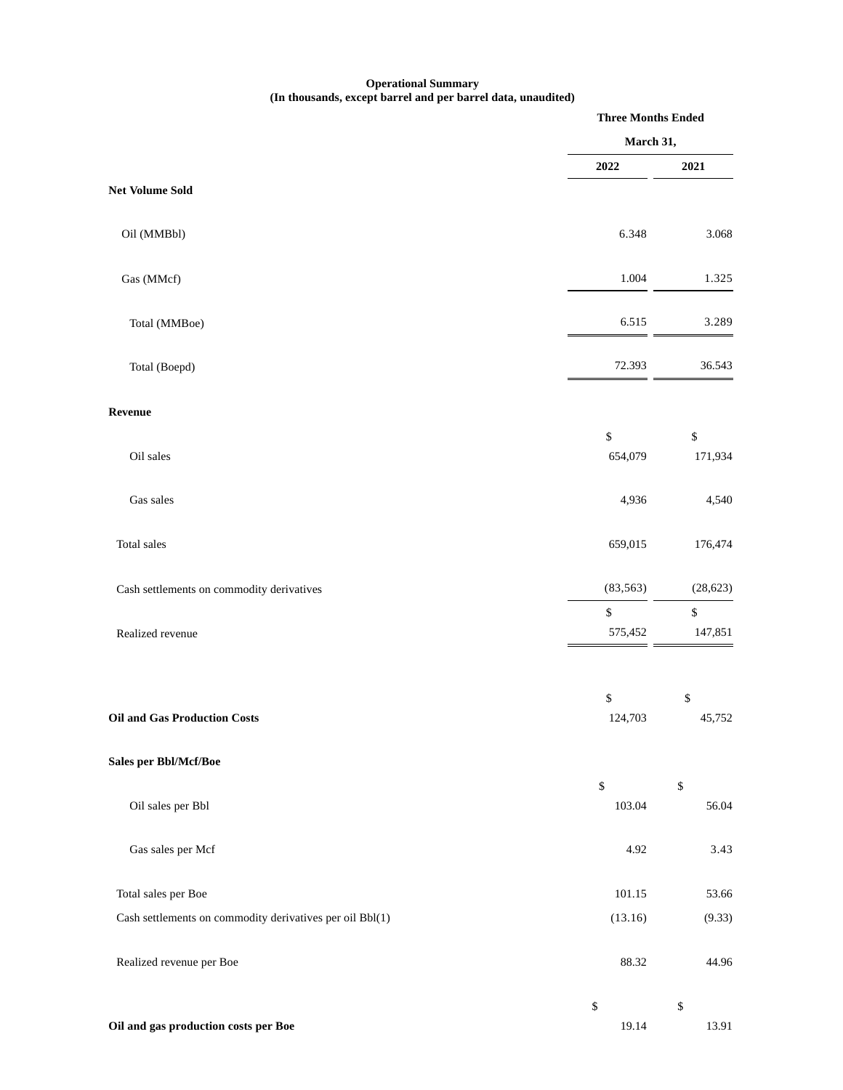### **Operational Summary (In thousands, except barrel and per barrel data, unaudited)**

|                                                          | <b>Three Months Ended</b> |                            |
|----------------------------------------------------------|---------------------------|----------------------------|
|                                                          | March 31,                 |                            |
|                                                          | 2022                      | 2021                       |
| <b>Net Volume Sold</b>                                   |                           |                            |
| Oil (MMBbl)                                              | 6.348                     | 3.068                      |
| Gas (MMcf)                                               | 1.004                     | 1.325                      |
| Total (MMBoe)                                            | 6.515                     | 3.289                      |
| Total (Boepd)                                            | 72.393                    | 36.543                     |
| Revenue                                                  |                           |                            |
| Oil sales                                                | \$<br>654,079             | \$<br>171,934              |
| Gas sales                                                | 4,936                     | 4,540                      |
| Total sales                                              | 659,015                   | 176,474                    |
| Cash settlements on commodity derivatives                | (83, 563)                 | (28, 623)                  |
| Realized revenue                                         | \$<br>575,452             | \$<br>147,851              |
|                                                          | \$                        | $\mathbb{S}$               |
| <b>Oil and Gas Production Costs</b>                      | 124,703                   | 45,752                     |
| Sales per Bbl/Mcf/Boe                                    |                           |                            |
| Oil sales per Bbl                                        | $\$$<br>103.04            | \$<br>56.04                |
| Gas sales per Mcf                                        | 4.92                      | 3.43                       |
| Total sales per Boe                                      | 101.15                    | 53.66                      |
| Cash settlements on commodity derivatives per oil Bbl(1) | (13.16)                   | (9.33)                     |
| Realized revenue per Boe                                 | 88.32                     | 44.96                      |
| Oil and gas production costs per Boe                     | $\$$<br>19.14             | $\boldsymbol{\$}$<br>13.91 |
|                                                          |                           |                            |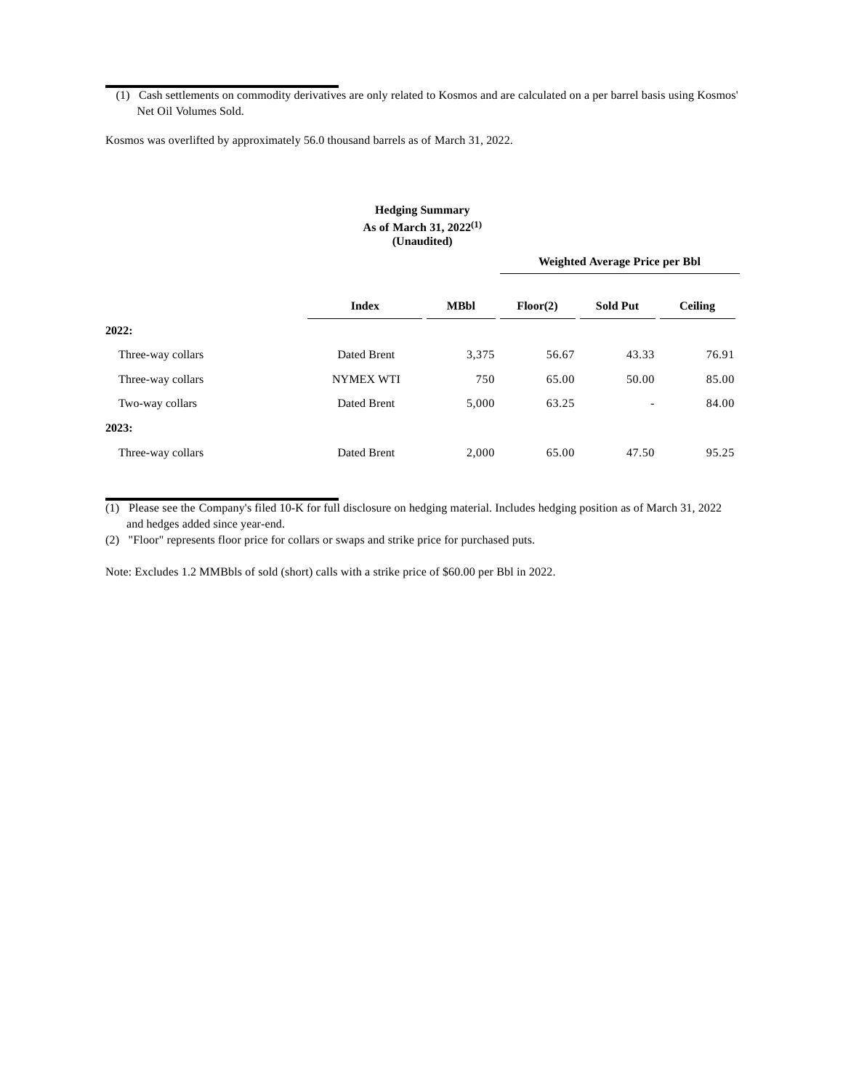(1) Cash settlements on commodity derivatives are only related to Kosmos and are calculated on a per barrel basis using Kosmos' Net Oil Volumes Sold.

Kosmos was overlifted by approximately 56.0 thousand barrels as of March 31, 2022.

# **Hedging Summary As of March 31, 2022(1) (Unaudited)**

|                   |                  |             | <b>Weighted Average Price per Bbl</b> |                          |                |
|-------------------|------------------|-------------|---------------------------------------|--------------------------|----------------|
|                   | <b>Index</b>     | <b>MBbl</b> | Floor(2)                              | <b>Sold Put</b>          | <b>Ceiling</b> |
| 2022:             |                  |             |                                       |                          |                |
| Three-way collars | Dated Brent      | 3,375       | 56.67                                 | 43.33                    | 76.91          |
| Three-way collars | <b>NYMEX WTI</b> | 750         | 65.00                                 | 50.00                    | 85.00          |
| Two-way collars   | Dated Brent      | 5,000       | 63.25                                 | $\overline{\phantom{a}}$ | 84.00          |
| 2023:             |                  |             |                                       |                          |                |
| Three-way collars | Dated Brent      | 2,000       | 65.00                                 | 47.50                    | 95.25          |

(1) Please see the Company's filed 10-K for full disclosure on hedging material. Includes hedging position as of March 31, 2022 and hedges added since year-end.

(2) "Floor" represents floor price for collars or swaps and strike price for purchased puts.

Note: Excludes 1.2 MMBbls of sold (short) calls with a strike price of \$60.00 per Bbl in 2022.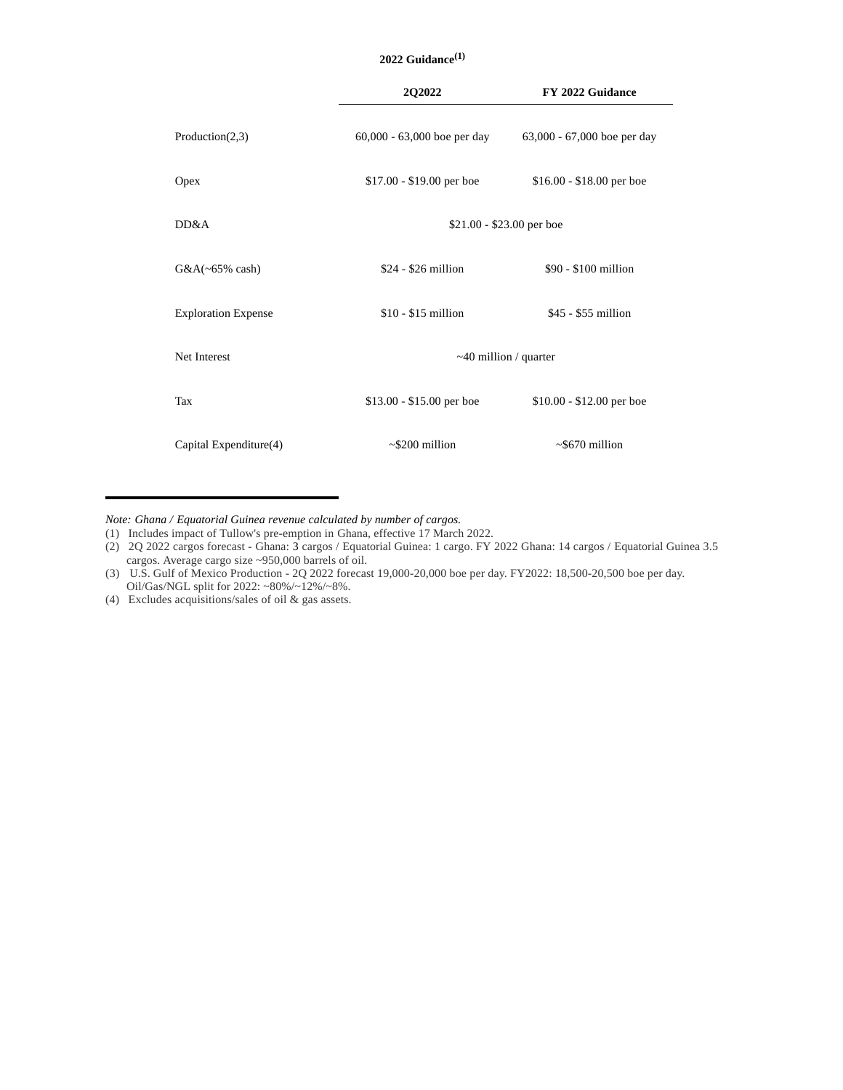|                            | 2022 Guidance $(1)$           |                             |  |
|----------------------------|-------------------------------|-----------------------------|--|
|                            | 2Q2022                        | FY 2022 Guidance            |  |
| Production(2,3)            | $60,000 - 63,000$ boe per day | 63,000 - 67,000 boe per day |  |
| Opex                       | $$17.00 - $19.00$ per boe     | $$16.00 - $18.00$ per boe   |  |
| DD&A                       | $$21.00 - $23.00$ per boe     |                             |  |
| $G&A(\sim65\%$ cash)       | \$24 - \$26 million           | \$90 - \$100 million        |  |
| <b>Exploration Expense</b> | $$10 - $15$ million           | \$45 - \$55 million         |  |
| Net Interest               | $~10$ million / quarter       |                             |  |
| Tax                        | $$13.00 - $15.00$ per boe     | $$10.00 - $12.00$ per boe   |  |

*Note: Ghana / Equatorial Guinea revenue calculated by number of cargos.*

(1) Includes impact of Tullow's pre-emption in Ghana, effective 17 March 2022.

(3) U.S. Gulf of Mexico Production - 2Q 2022 forecast 19,000-20,000 boe per day. FY2022: 18,500-20,500 boe per day. Oil/Gas/NGL split for 2022: ~80%/~12%/~8%.

Capital Expenditure(4)  $\sim$  \$200 million  $\sim$  \$670 million

(4) Excludes acquisitions/sales of oil & gas assets.

<sup>(2) 2</sup>Q 2022 cargos forecast - Ghana: 3 cargos / Equatorial Guinea: 1 cargo. FY 2022 Ghana: 14 cargos / Equatorial Guinea 3.5 cargos. Average cargo size ~950,000 barrels of oil.